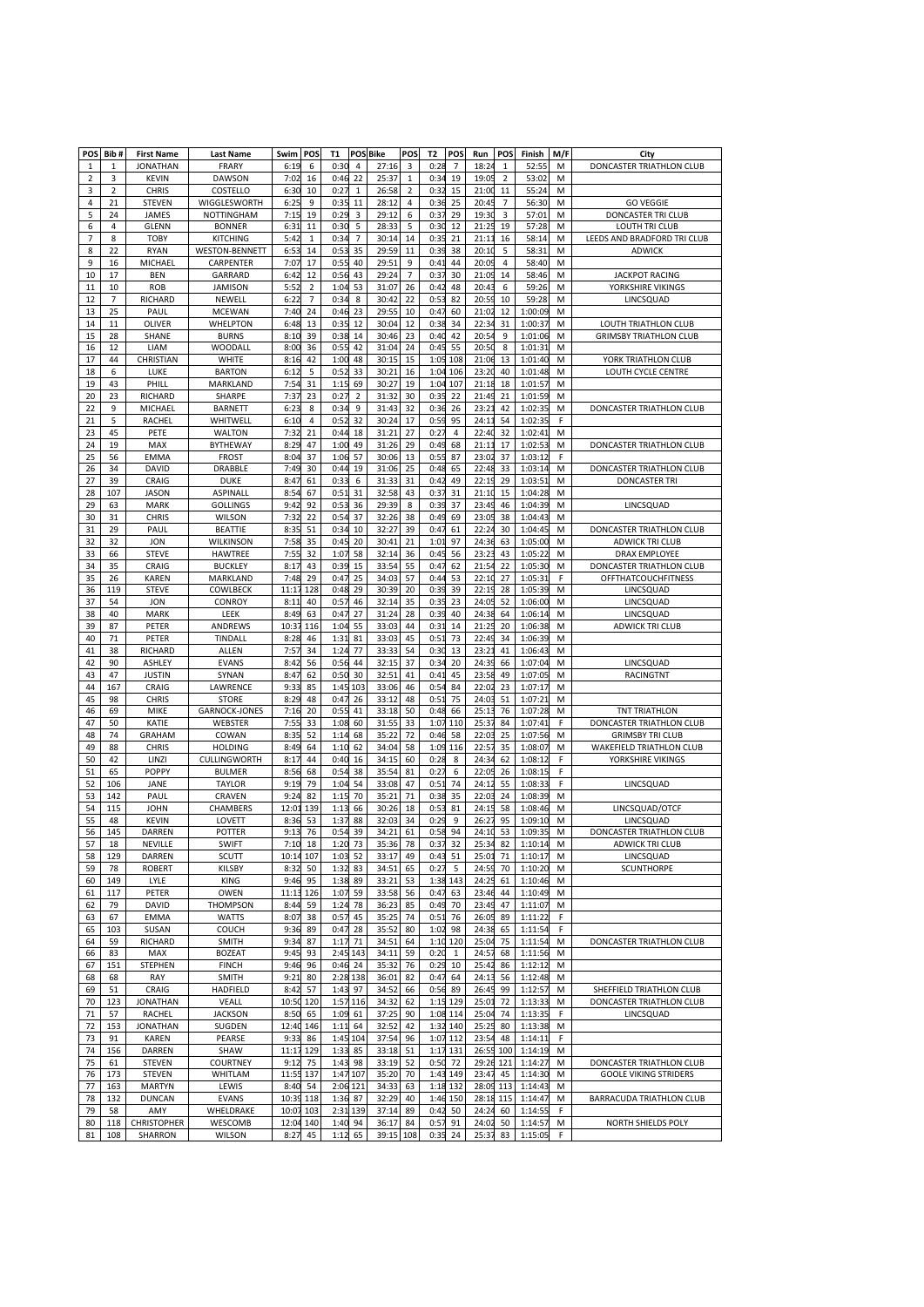| POS            | Bib#      | <b>First Name</b>         | <b>Last Name</b>                     | Swim          | POS            | Т1           |                      | <b>POS Bike</b> | POS            | T2           | POS          | Run            | POS            | Finish             | M/F    | City                                                   |
|----------------|-----------|---------------------------|--------------------------------------|---------------|----------------|--------------|----------------------|-----------------|----------------|--------------|--------------|----------------|----------------|--------------------|--------|--------------------------------------------------------|
| 1              | 1         | <b>JONATHAN</b>           | FRARY                                | 6:19          | 6              | 0:30         | 4                    | 27:16           | 3              | 0:2          | 7            | 18:24          | 1              | 52:55              | M      | DONCASTER TRIATHLON CLUB                               |
| $\overline{2}$ | 3         | <b>KEVIN</b>              | <b>DAWSON</b>                        | 7:02          | 16             | 0:46         | 22                   | 25:37           | 1              | 0:3          | 19           | 19:0           | $\overline{2}$ | 53:02              | M      |                                                        |
| 3              | 2         | <b>CHRIS</b>              | COSTELLO                             | 6:30          | 10             | 0:27         | 1                    | 26:58           | 2              | 0:3          | 15           | 21:00          | 11             | 55:24              | M      |                                                        |
| 4              | 21        | <b>STEVEN</b>             | WIGGLESWORTH                         | 6:25          | 9              | 0:35         | 11                   | 28:12           | 4              | 0:3          | 25           | 20:4           | 7              | 56:30              | M      | <b>GO VEGGIE</b>                                       |
| 5              | 24        | JAMES                     | NOTTINGHAM                           | 7:15          | 19             | 0:29         | 3                    | 29:12           | 6              | 0:3          | 29           | 19:30          | 3              | 57:01              | M      | DONCASTER TRI CLUB                                     |
| 6              | 4         | <b>GLENN</b>              | <b>BONNER</b>                        | 6:31          | 11             | 0:3C         | 5                    | 28:33           | 5              | 0:3          | 12           | 21:25          | 19             | 57:28              | M      | LOUTH TRI CLUB                                         |
| 7              | 8         | <b>TOBY</b>               | <b>KITCHING</b>                      | 5:42          | 1              | 0:34         | 7                    | 30:14           | 14             | 0:3          | 21           | 21:1           | 16             | 58:14              | M      | LEEDS AND BRADFORD TRI CLUB                            |
| 8<br>9         | 22<br>16  | <b>RYAN</b><br>MICHAEL    | <b>WESTON-BENNETT</b><br>CARPENTER   | 6:53<br>7:07  | 14<br>17       | 0:53<br>0:5! | 35<br>40             | 29:59<br>29:51  | 11<br>9        | 0:3<br>0:4   | 38<br>44     | 20:10<br>20:09 | 5<br>4         | 58:31<br>58:40     | M<br>M | <b>ADWICK</b>                                          |
| 10             | 17        | BEN                       | GARRARD                              | 6:42          | 12             | 0:56         | 43                   | 29:24           | $\overline{7}$ | 0:3          | 30           | 21:09          | 14             | 58:46              | M      | <b>JACKPOT RACING</b>                                  |
| 11             | 10        | <b>ROB</b>                | <b>JAMISON</b>                       | 5:52          | $\overline{2}$ | 1:04         | 53                   | 31:07           | 26             | 0:4          | 48           | 20:43          | 6              | 59:26              | M      | YORKSHIRE VIKINGS                                      |
| 12             | 7         | RICHARD                   | NEWELL                               | 6:22          | 7              | 0:3          | 8                    | 30:42           | 22             | 0:5          | 82           | 20:5           | 10             | 59:28              | M      | LINCSQUAD                                              |
| 13             | 25        | PAUL                      | <b>MCEWAN</b>                        | 7:40          | 24             | 0:46         | 23                   | 29:55           | 10             | 0:4          | 60           | 21:02          | 12             | 1:00:09            | M      |                                                        |
| 14             | 11        | <b>OLIVER</b>             | WHELPTON                             | 6:48          | 13             | 0:35         | 12                   | 30:04           | 12             | 0:3          | 34           | 22:34          | 31             | 1:00:37            | M      | LOUTH TRIATHLON CLUB                                   |
| 15             | 28        | SHANE                     | <b>BURNS</b>                         | 8:10          | 39             | 0:38         | 14                   | 30:46           | 23             | 0:4          | 42           | 20:5           | 9              | 1:01:06            | M      | <b>GRIMSBY TRIATHLON CLUB</b>                          |
| 16             | 12        | LIAM                      | WOODALL                              | 8:00          | 36             | 0:55         | 42                   | 31:04           | 24             | 0:4          | 55           | 20:5           | 8              | 1:01:31            | M      |                                                        |
| 17             | 44        | CHRISTIAN                 | WHITE                                | 8:16          | 42             | 1:00         | 48                   | 30:15           | 15             | 1:0          | 108          | 21:06          | 13             | 1:01:40            | М      | YORK TRIATHLON CLUB                                    |
| 18             | 6         | LUKE                      | <b>BARTON</b>                        | 6:12          | 5              | 0:52         | 33                   | 30:21           | 16             | 1:0          | 106          | 23:20          | 40             | 1:01:48            | M      | LOUTH CYCLE CENTRE                                     |
| 19             | 43        | PHILI                     | MARKLAND                             | 7:54          | 31             | 1:1!         | 69<br>$\overline{2}$ | 30:27           | 19             | 1:0          | 107          | 21:18          | 18             | 1:01:5             | M      |                                                        |
| 20<br>22       | 23<br>9   | RICHARD<br>MICHAEL        | SHARPE<br>BARNETT                    | 7:37<br>6:23  | 23<br>8        | 0:27<br>0:34 | 9                    | 31:32<br>31:43  | 30<br>32       | 0:3<br>0:3   | 22<br>26     | 21:49<br>23:2  | 21<br>42       | 1:01:59<br>1:02:35 | M      | DONCASTER TRIATHLON CLUB                               |
| 21             | 5         | RACHEI                    | WHITWELI                             | 6:10          | 4              | 0:5          | 32                   | 30:24           | 17             | 0:5          | 95           | 24:1           | 54             | 1:02:3             | М<br>F |                                                        |
| 23             | 45        | PETE                      | <b>WALTON</b>                        | 7:32          | 21             | 0:44         | 18                   | 31:21           | 27             | 0:2          | 4            | 22:40          | 32             | 1:02:41            | M      |                                                        |
| 24             | 19        | MAX                       | <b>BYTHEWAY</b>                      | 8:29          | 47             | 1:00         | 49                   | 31:26           | 29             | 0:4          | 68           | 21:1           | 17             | 1:02:5             | M      | DONCASTER TRIATHLON CLUB                               |
| 25             | 56        | EMMA                      | <b>FROST</b>                         | 8:04          | 37             | 1:06         | 57                   | 30:06           | 13             | 0:5          | 87           | 23:02          | 37             | 1:03:12            | F      |                                                        |
| 26             | 34        | DAVID                     | <b>DRABBLE</b>                       | 7:49          | 30             | 0:44         | 19                   | 31:06           | 25             | 0:4          | 65           | 22:48          | 33             | 1:03:14            | M      | DONCASTER TRIATHLON CLUB                               |
| 27             | 39        | CRAIG                     | DUKE                                 | 8:47          | 61             | 0:3          | 6                    | 31:33           | 31             | 0:4          | 49           | 22:1           | 29             | 1:03:5             | M      | <b>DONCASTER TRI</b>                                   |
| 28             | 107       | <b>JASON</b>              | <b>ASPINALL</b>                      | 8:54          | 67             | 0:51         | 31                   | 32:58           | 43             | 0:3          | 31           | 21:10          | 15             | 1:04:28            | M      |                                                        |
| 29             | 63        | <b>MARK</b>               | <b>GOLLINGS</b>                      | 9:42          | 92             | 0:5          | 36                   | 29:39           | 8              | 0:3          | 37           | 23:49          | 46             | 1:04:3             | M      | LINCSQUAD                                              |
| 30             | 31        | <b>CHRIS</b>              | <b>WILSON</b>                        | 7:32          | 22             | 0:5          | 37                   | 32:26           | 38             | 0:4          | 69           | 23:05          | 38             | 1:04:43            | M      |                                                        |
| 31             | 29        | PAUL                      | <b>BEATTIE</b>                       | 8:35          | 51             | 0:34         | 10                   | 32:27           | 39             | 0:4          | 61           | 22:2           | 30             | 1:04:45            | M      | DONCASTER TRIATHLON CLUB                               |
| 32             | 32        | <b>JON</b>                | WILKINSON                            | 7:58          | 35             | 0:45         | 20                   | 30:41           | 21             | 1:0          | 97           | 24:36          | 63             | 1:05:00            | M      | ADWICK TRI CLUB                                        |
| 33<br>34       | 66        | <b>STEVE</b>              | <b>HAWTREE</b>                       | 7:55<br>8:17  | 32<br>43       | 1:07<br>0:39 | 58                   | 32:14<br>33:54  | 36             | 0:4          | 56           | 23:23<br>21:5  | 43<br>22       | 1:05:22            | M      | <b>DRAX EMPLOYEE</b>                                   |
| 35             | 35<br>26  | CRAIG<br>KAREN            | <b>BUCKLEY</b><br>MARKLAND           | 7:48          | 29             | 0:47         | 15<br>25             | 34:03           | 55<br>57       | 0:4<br>0:4   | 62<br>53     | 22:10          | 27             | 1:05:30<br>1:05:31 | M<br>F | DONCASTER TRIATHLON CLUB<br><b>OFFTHATCOUCHFITNESS</b> |
| 36             | 119       | <b>STEVE</b>              | COWLBECK                             | 11:17         | 128            | 0:48         | 29                   | 30:39           | 20             | 0:3          | 39           | 22:19          | 28             | 1:05:39            | M      | LINCSQUAD                                              |
| 37             | 54        | <b>JON</b>                | <b>CONROY</b>                        | 8:11          | 40             | 0:5          | 46                   | 32:14           | 35             | 0:3          | 23           | 24:05          | 52             | 1:06:00            | М      | LINCSQUAD                                              |
| 38             | 40        | <b>MARK</b>               | LEEK                                 | 8:49          | 63             | 0:47         | 27                   | 31:24           | 28             | 0:3          | 40           | 24:38          | 64             | 1:06:14            | M      | LINCSQUAD                                              |
| 39             | 87        | PETER                     | ANDREWS                              | 10:37         | 116            | 1:04         | 55                   | 33:03           | 44             | 0:3          | 14           | 21:2           | 20             | 1:06:38            | M      | <b>ADWICK TRI CLUB</b>                                 |
| 40             | 71        | PETER                     | TINDALL                              | 8:28          | 46             | 1:31         | 81                   | 33:03           | 45             | 0:5          | 73           | 22:49          | 34             | 1:06:39            | M      |                                                        |
| 41             | 38        | RICHARD                   | ALLEN                                | 7:57          | 34             | 1:24         | 77                   | 33:33           | 54             | 0:3          | 13           | 23:2           | 41             | 1:06:43            | M      |                                                        |
| 42             | 90        | ASHLEY                    | <b>EVANS</b>                         | 8:42          | 56             | 0:56         | 44                   | 32:15           | 37             | 0:3          | 20           | 24:39          | 66             | 1:07:0             | M      | LINCSQUAD                                              |
| 43             | 47        | <b>JUSTIN</b>             | SYNAN                                | 8:47          | 62             | 0:5C         | 30                   | 32:51           | 41             | 0:4          | 45           | 23:58          | 49             | 1:07:05            | M      | RACINGTNT                                              |
| 44             | 167       | CRAIG                     | LAWRENCE                             | 9:33          | 85             | 1:45         | 103                  | 33:06           | 46             | 0:5          | 84           | 22:02          | 23             | 1:07:17            | M      |                                                        |
| 45<br>46       | 98<br>69  | <b>CHRIS</b><br>MIKE      | <b>STORE</b><br><b>GARNOCK-JONES</b> | 8:29<br>7:16  | 48<br>20       | 0:47<br>0:55 | 26<br>41             | 33:12<br>33:18  | 48<br>50       | 0:5<br>0:4   | 75<br>66     | 24:0<br>25:13  | 51<br>76       | 1:07:21<br>1:07:28 | M      | <b>TNT TRIATHLON</b>                                   |
| 47             | 50        | KATIE                     | WEBSTER                              | 7:55          | 33             | 1:08         | 60                   | 31:55           | 33             | 1:0          | 110          | 25:3           | 84             | 1:07:41            | М<br>F | DONCASTER TRIATHLON CLUB                               |
| 48             | 74        | <b>GRAHAM</b>             | COWAN                                | 8:35          | 52             | 1:14         | 68                   | 35:22           | 72             | 0:40         | 58           | 22:03          | 25             | 1:07:56            | M      | <b>GRIMSBY TRI CLUB</b>                                |
| 49             | 88        | <b>CHRIS</b>              | <b>HOLDING</b>                       | 8:49          | 64             | 1:10         | 62                   | 34:04           | 58             | 1:0          | 116          | 22:5           | 35             | 1:08:0             | M      | <b>WAKEFIELD TRIATHLON CLUB</b>                        |
| 50             | 42        | LINZI                     | <b>CULLINGWORTH</b>                  | 8:17          | 44             | 0:40         | 16                   | 34:15           | 60             | 0:21         | 8            | 24:34          | 62             | 1:08:12            | F      | YORKSHIRE VIKINGS                                      |
| 51             | 65        | <b>POPPY</b>              | <b>BULMER</b>                        | 8:56          | 68             | 0:54         | 38                   | 35:54           | 81             | 0:2          | 6            | 22:05          | 26             | 1:08:15            | F      |                                                        |
| 52             | 106       | JANE                      | <b>TAYLOR</b>                        | 9:19          | 79             | 1:04         | 54                   | 33:08           | 47             | 0:5          | 74           | 24:1           | 55             | 1:08:3             | F      | LINCSQUAD                                              |
| 53             | 142       | PAUL                      | CRAVEN                               | 9:24          | 82             | 1:15         | 70                   | 35:21           | 71             | 0:38         | 35           | 22:03          | 24             | 1:08:39            | M      |                                                        |
| 54             | 115       | JOHN                      | <b>CHAMBERS</b>                      | 12:01         | 139            | 1:13         | 66                   | 30:26           | 18             | 0:5          | 81           | 24:1           | 58             | 1:08:46            | M      | LINCSQUAD/OTCF                                         |
| 55             | 48        | <b>KEVIN</b>              | LOVETT                               | 8:36          | 53             | 1:37         | 88                   | 32:03           | 34             | 0:2          | 9            | 26:2           | 95             | 1:09:10            | M      | LINCSQUAD                                              |
| 56             | 145       | <b>DARREN</b>             | POTTER                               | 9:13          | 76             | 0:54         | 39                   | 34:21           | 61             | 0:58         | 94           | 24:10          | 53             | 1:09:35            | M      | DONCASTER TRIATHLON CLUB                               |
| 57             | 18        | NEVILLE                   | SWIFT                                | 7:10          | 18             | 1:20         | 73                   | 35:36 78        |                | 0:37         | 32           | 25:34          | 82             | 1:10:14<br>1:10:17 | М      | <b>ADWICK TRI CLUB</b>                                 |
| 58<br>59       | 129<br>78 | DARREN<br><b>ROBERT</b>   | <b>SCUTT</b><br>KILSBY               | 10:14<br>8:32 | 107<br>50      | 1:03<br>1:32 | 52<br>83             | 33:17<br>34:51  | 49<br>65       | 0:43<br>0:2  | 51<br>5      | 25:01<br>24:59 | 71<br>70       | 1:10:20            | M<br>M | LINCSQUAD<br>SCUNTHORPE                                |
| 60             | 149       | LYLE                      | <b>KING</b>                          | 9:46          | 95             | 1:38         | 89                   | 33:21           | 53             | 1:38         | 143          | 24:25          | 61             | 1:10:46            | M      |                                                        |
| 61             | 117       | PETER                     | OWEN                                 | 11:13         | 126            | 1:07         | 59                   | 33:58           | 56             | 0:4          | 63           | 23:46          | 44             | 1:10:49            | M      |                                                        |
| 62             | 79        | DAVID                     | THOMPSON                             | 8:44          | 59             | 1:24         | 78                   | 36:23           | 85             | 0:49         | 70           | 23:49          | 47             | 1:11:07            | M      |                                                        |
| 63             | 67        | <b>EMMA</b>               | <b>WATTS</b>                         | 8:07          | 38             | 0:57         | 45                   | 35:25           | 74             | 0:5          | 76           | 26:05          | 89             | 1:11:22            | F      |                                                        |
| 65             | 103       | SUSAN                     | COUCH                                | 9:36          | 89             | 0:47         | 28                   | 35:52           | 80             | 1:0.7        | 98           | 24:38          | 65             | 1:11:54            | F      |                                                        |
| 64             | 59        | RICHARD                   | SMITH                                | 9:34          | 87             | 1:17         | 71                   | 34:51           | 64             | 1:10         | 120          | 25:04          | 75             | 1:11:54            | M      | DONCASTER TRIATHLON CLUB                               |
| 66             | 83        | MAX                       | <b>BOZEAT</b>                        | 9:45          | 93             |              | 2:45 143             | 34:11           | 59             | 0:20         | $\mathbf{1}$ | 24:57          | 68             | 1:11:56            | M      |                                                        |
| 67             | 151       | STEPHEN                   | <b>FINCH</b>                         | 9:46          | 96             | 0:46         | 24                   | 35:32           | 76             | 0:29         | 10           | 25:42          | 86             | 1:12:12            | M      |                                                        |
| 68             | 68        | RAY                       | <b>SMITH</b>                         | 9:21          | 80             |              | 2:28 138             | 36:01           | 82             | 0:4          | 64           | 24:13          | 56             | 1:12:48            | M      |                                                        |
| 69             | 51        | CRAIG                     | HADFIELD                             | 8:42          | 57             | 1:43         | 97                   | 34:52           | 66             | 0:56         | 89           | 26:45          | 99             | 1:12:57            | M      | SHEFFIELD TRIATHLON CLUB                               |
| 70<br>71       | 123<br>57 | <b>JONATHAN</b><br>RACHEL | VEALL<br><b>JACKSON</b>              | 10:50<br>8:50 | 120<br>65      | 1:57<br>1:09 | 116<br>61            | 34:32<br>37:25  | 62<br>90       | 1:15<br>1:08 | 129<br>114   | 25:01<br>25:04 | 72<br>74       | 1:13:33<br>1:13:35 | M<br>F | DONCASTER TRIATHLON CLUB<br>LINCSQUAD                  |
| 72             | 153       | <b>JONATHAN</b>           | SUGDEN                               | 12:40         | 146            | 1:11         | 64                   | 32:52           | 42             | 1:3          | 140          | 25:25          | 80             | 1:13:38            | M      |                                                        |
| 73             | 91        | <b>KAREN</b>              | PEARSE                               | 9:33          | 86             | 1:45 104     |                      | 37:54           | 96             | 1:07         | 112          | 23:54          | 48             | 1:14:11            | F      |                                                        |
| 74             | 156       | DARREN                    | SHAW                                 | 11:17         | 129            | 1:33         | 85                   | 33:18           | 51             | 1:1          | 131          | 26:55          | 100            | 1:14:19            | M      |                                                        |
| 75             | 61        | <b>STEVEN</b>             | COURTNEY                             | 9:12          | 75             | 1:43         | 98                   | 33:19           | 52             | 0:50         | 72           | 29:26          | 121            | 1:14:27            | M      | DONCASTER TRIATHLON CLUB                               |
| 76             | 173       | STEVEN                    | WHITLAM                              | 11:55         | 137            | 1:47 107     |                      | 35:20           | 70             | 1:43         | 149          | 23:47          | 45             | 1:14:30            | M      | <b>GOOLE VIKING STRIDERS</b>                           |
| 77             | 163       | <b>MARTYN</b>             | LEWIS                                | 8:40          | 54             |              | 2:06 121             | 34:33           | 63             | 1:18         | 132          | 28:09          | 113            | 1:14:43            | M      |                                                        |
| 78             | 132       | DUNCAN                    | <b>EVANS</b>                         | 10:39         | 118            | 1:36         | 87                   | 32:29           | 40             | 1:46         | 150          | 28:18          | 115            | 1:14:47            | M      | BARRACUDA TRIATHLON CLUB                               |
| 79             | 58        | AMY                       | WHELDRAKE                            | 10:07         | 103            | 2:31 139     |                      | 37:14           | 89             | 0:4          | 50           | 24:24          | 60             | 1:14:55            | F.     |                                                        |
| 80             | 118       | <b>CHRISTOPHER</b>        | WESCOMB                              | 12:04         | 140            | 1:40         | 94                   | 36:17           | 84             | 0:5          | 91           | 24:02          | 50             | 1:14:57            | M      | NORTH SHIELDS POLY                                     |
| 81             | 108       | SHARRON                   | WILSON                               | 8:27          | 45             | 1:12         | 65                   | 39:15           | 108            | 0:35         | 24           | 25:37          | 83             | 1:15:05            | F      |                                                        |